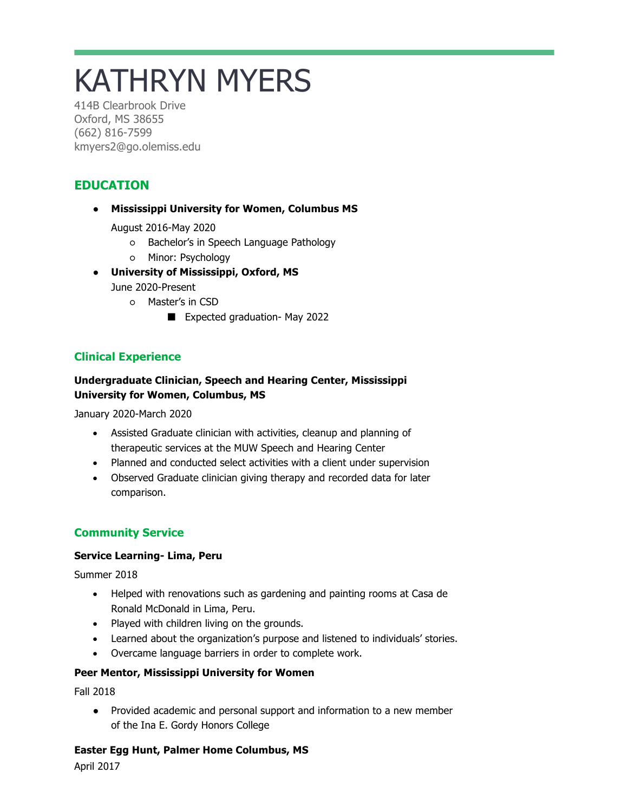# KATHRYN MYERS

414B Clearbrook Drive Oxford, MS 38655 (662) 816-7599 kmyers2@go.olemiss.edu

## **EDUCATION**

#### ● **Mississippi University for Women, Columbus MS**

August 2016-May 2020

- Bachelor's in Speech Language Pathology
- Minor: Psychology
- **University of Mississippi, Oxford, MS**

June 2020-Present

- Master's in CSD
	- Expected graduation- May 2022

## **Clinical Experience**

## **Undergraduate Clinician, Speech and Hearing Center, Mississippi University for Women, Columbus, MS**

January 2020-March 2020

- Assisted Graduate clinician with activities, cleanup and planning of therapeutic services at the MUW Speech and Hearing Center
- Planned and conducted select activities with a client under supervision
- Observed Graduate clinician giving therapy and recorded data for later comparison.

## **Community Service**

#### **Service Learning- Lima, Peru**

Summer 2018

- Helped with renovations such as gardening and painting rooms at Casa de Ronald McDonald in Lima, Peru.
- Played with children living on the grounds.
- Learned about the organization's purpose and listened to individuals' stories.
- Overcame language barriers in order to complete work.

## **Peer Mentor, Mississippi University for Women**

Fall 2018

● Provided academic and personal support and information to a new member of the Ina E. Gordy Honors College

#### **Easter Egg Hunt, Palmer Home Columbus, MS**

April 2017